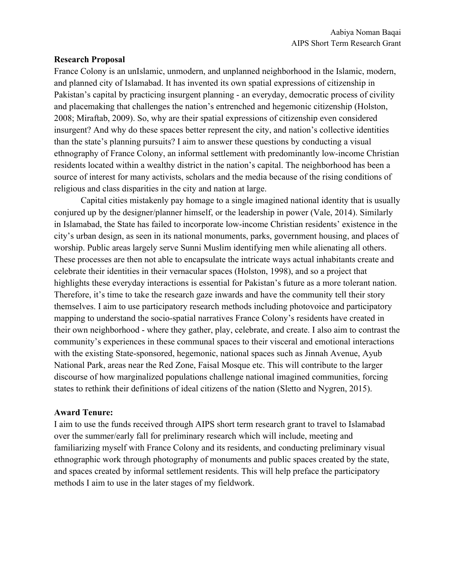## **Research Proposal**

France Colony is an unIslamic, unmodern, and unplanned neighborhood in the Islamic, modern, and planned city of Islamabad. It has invented its own spatial expressions of citizenship in Pakistan's capital by practicing insurgent planning - an everyday, democratic process of civility and placemaking that challenges the nation's entrenched and hegemonic citizenship (Holston, 2008; Miraftab, 2009). So, why are their spatial expressions of citizenship even considered insurgent? And why do these spaces better represent the city, and nation's collective identities than the state's planning pursuits? I aim to answer these questions by conducting a visual ethnography of France Colony, an informal settlement with predominantly low-income Christian residents located within a wealthy district in the nation's capital. The neighborhood has been a source of interest for many activists, scholars and the media because of the rising conditions of religious and class disparities in the city and nation at large.

Capital cities mistakenly pay homage to a single imagined national identity that is usually conjured up by the designer/planner himself, or the leadership in power (Vale, 2014). Similarly in Islamabad, the State has failed to incorporate low-income Christian residents' existence in the city's urban design, as seen in its national monuments, parks, government housing, and places of worship. Public areas largely serve Sunni Muslim identifying men while alienating all others. These processes are then not able to encapsulate the intricate ways actual inhabitants create and celebrate their identities in their vernacular spaces (Holston, 1998), and so a project that highlights these everyday interactions is essential for Pakistan's future as a more tolerant nation. Therefore, it's time to take the research gaze inwards and have the community tell their story themselves. I aim to use participatory research methods including photovoice and participatory mapping to understand the socio-spatial narratives France Colony's residents have created in their own neighborhood - where they gather, play, celebrate, and create. I also aim to contrast the community's experiences in these communal spaces to their visceral and emotional interactions with the existing State-sponsored, hegemonic, national spaces such as Jinnah Avenue, Ayub National Park, areas near the Red Zone, Faisal Mosque etc. This will contribute to the larger discourse of how marginalized populations challenge national imagined communities, forcing states to rethink their definitions of ideal citizens of the nation (Sletto and Nygren, 2015).

## **Award Tenure:**

I aim to use the funds received through AIPS short term research grant to travel to Islamabad over the summer/early fall for preliminary research which will include, meeting and familiarizing myself with France Colony and its residents, and conducting preliminary visual ethnographic work through photography of monuments and public spaces created by the state, and spaces created by informal settlement residents. This will help preface the participatory methods I aim to use in the later stages of my fieldwork.